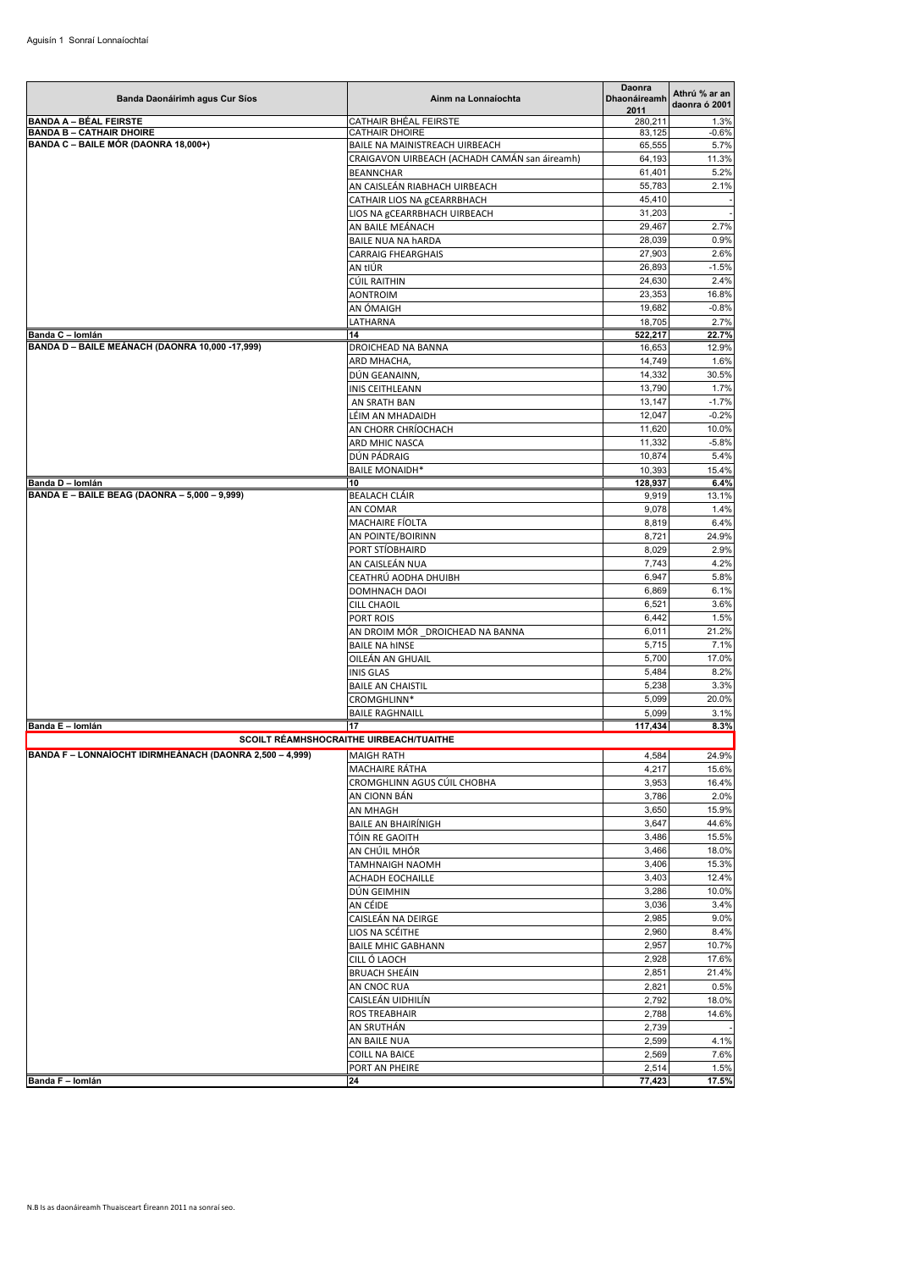| Banda Daonáirimh agus Cur Síos                           | Ainm na Lonnaíochta                                                             | Daonra<br><b>Dhaonáireamh</b><br>2011 | Athrú % ar an<br>daonra ó 2001 |
|----------------------------------------------------------|---------------------------------------------------------------------------------|---------------------------------------|--------------------------------|
| <b>BANDA A - BÉAL FEIRSTE</b>                            | <b>CATHAIR BHÉAL FEIRSTE</b>                                                    | 280,211                               | 1.3%                           |
| <b>BANDA B - CATHAIR DHOIRE</b>                          | CATHAIR DHOIRE                                                                  | 83,125                                | $-0.6%$                        |
| BANDA C - BAILE MÓR (DAONRA 18,000+)                     | BAILE NA MAINISTREACH UIRBEACH<br>CRAIGAVON UIRBEACH (ACHADH CAMÁN san áireamh) | 65,555<br>64,193                      | 5.7%<br>11.3%                  |
|                                                          | <b>BEANNCHAR</b>                                                                | 61,401                                | 5.2%                           |
|                                                          | AN CAISLEÁN RIABHACH UIRBEACH                                                   | 55,783                                | 2.1%                           |
|                                                          | CATHAIR LIOS NA gCEARRBHACH                                                     | 45,410                                |                                |
|                                                          | LIOS NA gCEARRBHACH UIRBEACH                                                    | 31,203                                |                                |
|                                                          | AN BAILE MEÁNACH                                                                | 29,467                                | 2.7%                           |
|                                                          | <b>BAILE NUA NA hARDA</b>                                                       | 28,039                                | 0.9%                           |
|                                                          | <b>CARRAIG FHEARGHAIS</b>                                                       | 27,903                                | 2.6%                           |
|                                                          | AN tIÚR                                                                         | 26,893                                | $-1.5%$                        |
|                                                          | CÚIL RAITHIN<br><b>AONTROIM</b>                                                 | 24,630<br>23,353                      | 2.4%<br>16.8%                  |
|                                                          | AN ÓMAIGH                                                                       | 19,682                                | $-0.8%$                        |
|                                                          | LATHARNA                                                                        | 18,705                                | 2.7%                           |
| Banda C - Iomlán                                         | 14                                                                              | 522,217                               | 22.7%                          |
| BANDA D - BAILE MEÁNACH (DAONRA 10,000 -17,999)          | DROICHEAD NA BANNA                                                              | 16,653                                | 12.9%                          |
|                                                          | ARD MHACHA,                                                                     | 14,749                                | 1.6%                           |
|                                                          | DÚN GEANAINN,                                                                   | 14,332                                | 30.5%                          |
|                                                          | INIS CEITHLEANN                                                                 | 13,790                                | 1.7%                           |
|                                                          | AN SRATH BAN                                                                    | 13,147                                | $-1.7%$                        |
|                                                          | LÉIM AN MHADAIDH                                                                | 12,047                                | $-0.2%$                        |
|                                                          | AN CHORR CHRÍOCHACH<br>ARD MHIC NASCA                                           | 11,620<br>11,332                      | 10.0%<br>$-5.8%$               |
|                                                          | DÚN PÁDRAIG                                                                     | 10,874                                | 5.4%                           |
|                                                          | <b>BAILE MONAIDH*</b>                                                           | 10,393                                | 15.4%                          |
| Banda D - Iomlán                                         | 10                                                                              | 128,937                               | 6.4%                           |
| BANDA E - BAILE BEAG (DAONRA - 5,000 - 9,999)            | <b>BEALACH CLÁIR</b>                                                            | 9,919                                 | 13.1%                          |
|                                                          | AN COMAR                                                                        | 9,078                                 | 1.4%                           |
|                                                          | MACHAIRE FÍOLTA                                                                 | 8,819                                 | 6.4%                           |
|                                                          | AN POINTE/BOIRINN                                                               | 8,721                                 | 24.9%                          |
|                                                          | PORT STÍOBHAIRD                                                                 | 8,029                                 | 2.9%                           |
|                                                          | AN CAISLEÁN NUA<br>CEATHRÚ AODHA DHUIBH                                         | 7,743<br>6,947                        | 4.2%<br>5.8%                   |
|                                                          | DOMHNACH DAOI                                                                   | 6,869                                 | 6.1%                           |
|                                                          | <b>CILL CHAOIL</b>                                                              | 6,521                                 | 3.6%                           |
|                                                          | PORT ROIS                                                                       | 6,442                                 | 1.5%                           |
|                                                          | AN DROIM MÓR DROICHEAD NA BANNA                                                 | 6,011                                 | 21.2%                          |
|                                                          | <b>BAILE NA hINSE</b>                                                           | 5,715                                 | 7.1%                           |
|                                                          | OILEÁN AN GHUAIL                                                                | 5,700                                 | 17.0%                          |
|                                                          | <b>INIS GLAS</b>                                                                | 5,484                                 | 8.2%                           |
|                                                          | <b>BAILE AN CHAISTIL</b>                                                        | 5,238                                 | 3.3%                           |
|                                                          | CROMGHLINN*                                                                     | 5,099                                 | 20.0%                          |
|                                                          | <b>BAILE RAGHNAILL</b>                                                          | 5,099                                 | 3.1%                           |
| Banda E - Iomlán                                         | 17<br>SCOILT RÉAMHSHOCRAITHE UIRBEACH/TUAITHE                                   | 117,434                               | 8.3%                           |
| BANDA F - LONNAÍOCHT IDIRMHEÁNACH (DAONRA 2,500 - 4,999) |                                                                                 | 4,584                                 | 24.9%                          |
|                                                          | MAIGH RATH<br>MACHAIRE RÁTHA                                                    | 4,217                                 | 15.6%                          |
|                                                          | CROMGHLINN AGUS CÚIL CHOBHA                                                     | 3,953                                 | 16.4%                          |
|                                                          | AN CIONN BÁN                                                                    | 3,786                                 | 2.0%                           |
|                                                          | AN MHAGH                                                                        | 3,650                                 | 15.9%                          |
|                                                          | <b>BAILE AN BHAIRÍNIGH</b>                                                      | 3,647                                 | 44.6%                          |
|                                                          | TÓIN RE GAOITH                                                                  | 3,486                                 | 15.5%                          |
|                                                          | AN CHÚIL MHÓR                                                                   | 3,466                                 | 18.0%                          |
|                                                          | TAMHNAIGH NAOMH                                                                 | 3,406                                 | 15.3%                          |
|                                                          | ACHADH EOCHAILLE                                                                | 3,403                                 | 12.4%                          |
|                                                          | DÚN GEIMHIN<br>AN CÉIDE                                                         | 3,286<br>3,036                        | 10.0%<br>3.4%                  |
|                                                          | CAISLEÁN NA DEIRGE                                                              | 2,985                                 | 9.0%                           |
|                                                          | LIOS NA SCÉITHE                                                                 | 2,960                                 | 8.4%                           |
|                                                          | <b>BAILE MHIC GABHANN</b>                                                       | 2,957                                 | 10.7%                          |
|                                                          | CILL Ó LAOCH                                                                    | 2,928                                 | 17.6%                          |
|                                                          | <b>BRUACH SHEÁIN</b>                                                            | 2,851                                 | 21.4%                          |
|                                                          | AN CNOC RUA                                                                     | 2,821                                 | 0.5%                           |
|                                                          | CAISLEÁN UIDHILÍN                                                               | 2,792                                 | 18.0%                          |
|                                                          | <b>ROS TREABHAIR</b>                                                            | 2,788                                 | 14.6%                          |
|                                                          | AN SRUTHÁN                                                                      | 2,739                                 |                                |
|                                                          | AN BAILE NUA                                                                    | 2,599                                 | 4.1%                           |
|                                                          | <b>COILL NA BAICE</b><br>PORT AN PHEIRE                                         | 2,569<br>2,514                        | 7.6%<br>1.5%                   |
| Banda F - Iomlán                                         | 24                                                                              | 77,423                                | 17.5%                          |
|                                                          |                                                                                 |                                       |                                |